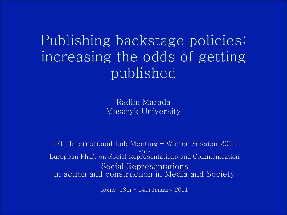Publishing backstage policies: increasing the odds of getting published

> Radim Marada Masaryk University

17th International Lab Meeting – Winter Session 2011 of the European Ph.D. on Social Representations and Communication Social Representations in action and construction in Media and Society

Rome, 13th - 14th January 2011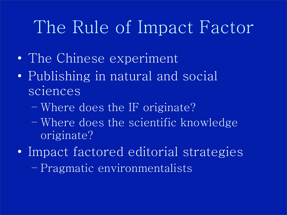## The Rule of Impact Factor

- The Chinese experiment
- Publishing in natural and social sciences
	- Where does the IF originate?
	- Where does the scientific knowledge originate?
- Impact factored editorial strategies
	- Pragmatic environmentalists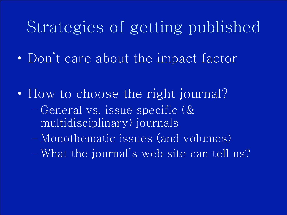#### Strategies of getting published

• Don't care about the impact factor

- How to choose the right journal?
	- General vs. issue specific (& multidisciplinary) journals
	- Monothematic issues (and volumes)
	- What the journal's web site can tell us?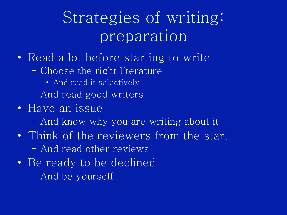## Strategies of writing: preparation

- Read a lot before starting to write
	- Choose the right literature
		- And read it selectively
	- And read good writers
- Have an issue
	- And know why you are writing about it
- Think of the reviewers from the start – And read other reviews
- Be ready to be declined – And be yourself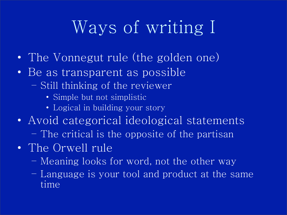## Ways of writing I

- The Vonnegut rule (the golden one)
- Be as transparent as possible
	- Still thinking of the reviewer
		- Simple but not simplistic
		- Logical in building your story
- Avoid categorical ideological statements
	- The critical is the opposite of the partisan
- The Orwell rule
	- Meaning looks for word, not the other way
	- Language is your tool and product at the same time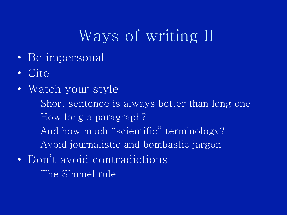## Ways of writing II

- Be impersonal
- Cite
- Watch your style
	- Short sentence is always better than long one
	- How long a paragraph?
	- And how much "scientific" terminology?
	- Avoid journalistic and bombastic jargon
- Don't avoid contradictions
	- The Simmel rule